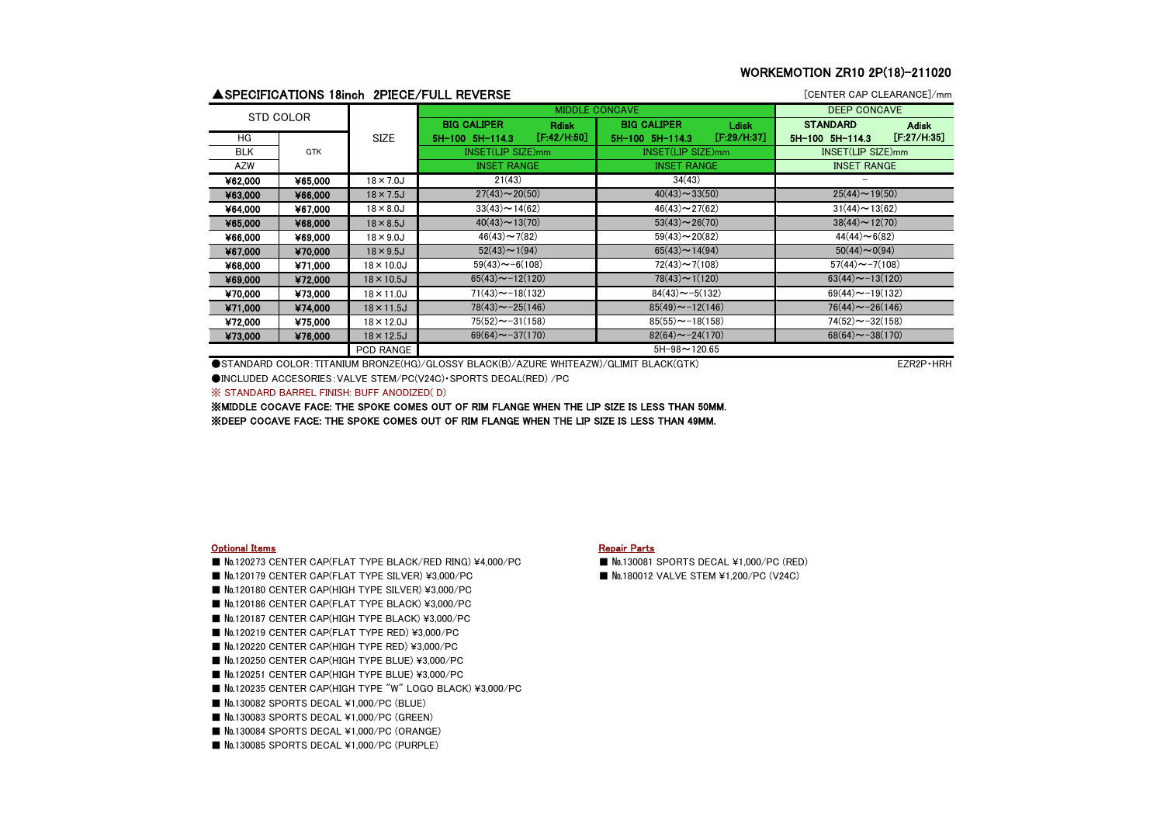# WORKEMOTION ZR10 2P(18)-211020

|            |         |                    | ▲SPECIFICATIONS 18inch 2PIECE/FULL REVERSE |             |                                    |             | [CENTER CAP CLEARANCE]/mm |              |
|------------|---------|--------------------|--------------------------------------------|-------------|------------------------------------|-------------|---------------------------|--------------|
| STD COLOR  |         |                    | <b>MIDDLE CONCAVE</b>                      |             |                                    |             | <b>DEEP CONCAVE</b>       |              |
|            |         |                    | <b>BIG CALIPER</b><br><b>Rdisk</b>         |             | <b>BIG CALIPER</b><br><b>Ldisk</b> |             | <b>STANDARD</b>           | <b>Adisk</b> |
| HG         |         | <b>SIZE</b>        | 5H-100 5H-114.3                            | [F:42/H:50] | 5H-100 5H-114.3                    | [F:29/H:37] | $5H-100$ $5H-114.3$       | [F:27/H:35]  |
| <b>BLK</b> | GTK     |                    | INSET(LIP SIZE)mm                          |             | INSET(LIP SIZE)mm                  |             | INSET(LIP SIZE)mm         |              |
| AZW        |         |                    | <b>INSET RANGE</b>                         |             | <b>INSET RANGE</b>                 |             | <b>INSET RANGE</b>        |              |
| ¥62,000    | ¥65,000 | $18 \times 7.0$ J  | 21(43)                                     |             | 34(43)                             |             |                           |              |
| ¥63,000    | ¥66,000 | $18 \times 7.5$ J  | $27(43) \sim 20(50)$                       |             | $40(43) \sim 33(50)$               |             | $25(44) \sim 19(50)$      |              |
| ¥64,000    | ¥67,000 | $18 \times 8.0$ J  | $33(43) \sim 14(62)$                       |             | $46(43) \sim 27(62)$               |             | $31(44) \sim 13(62)$      |              |
| ¥65,000    | ¥68,000 | $18 \times 8.5$ J  | $40(43) \sim 13(70)$                       |             | $53(43) \sim 26(70)$               |             | $38(44) \sim 12(70)$      |              |
| ¥66,000    | ¥69,000 | $18 \times 9.0$ J  | $46(43) \sim 7(82)$                        |             | $59(43) \sim 20(82)$               |             | $44(44) \sim 6(82)$       |              |
| ¥67,000    | ¥70,000 | $18 \times 9.5$ J  | $52(43) \sim 1(94)$                        |             | $65(43) \sim 14(94)$               |             | $50(44) \sim 0(94)$       |              |
| ¥68,000    | ¥71.000 | $18 \times 10.0$ J | $59(43) \sim -6(108)$                      |             | $72(43) \sim 7(108)$               |             | $57(44) \sim -7(108)$     |              |
| ¥69,000    | ¥72.000 | $18 \times 10.5$ J | $65(43) \sim -12(120)$                     |             | $78(43) \sim 1(120)$               |             | $63(44) \sim -13(120)$    |              |
| ¥70.000    | ¥73.000 | $18 \times 11.0$ J | $71(43) \sim -18(132)$                     |             | $84(43) \sim -5(132)$              |             | $69(44) \sim -19(132)$    |              |
| ¥71,000    | ¥74,000 | $18 \times 11.5$ J | $78(43) \sim -25(146)$                     |             | $85(49) \sim -12(146)$             |             | $76(44) \sim -26(146)$    |              |
| ¥72,000    | ¥75,000 | $18 \times 12.0$ J | $75(52) \sim -31(158)$                     |             | $85(55) \sim -18(158)$             |             | $74(52) \sim -32(158)$    |              |
| ¥73,000    | ¥76,000 | $18 \times 12.5$ J | $69(64) \sim -37(170)$                     |             | $82(64) \sim -24(170)$             |             | $68(64) \sim -38(170)$    |              |
|            |         | <b>PCD RANGE</b>   |                                            |             | $5H-98 \sim 120.65$                |             |                           |              |

●STANDARD COLOR: TITANIUM BRONZE(HG)/GLOSSY BLACK(B)/AZURE WHITEAZW)/GLIMIT BLACK(GTK) example and the state of the example and the example of the example of the example of the example of the example of the example of the ●INCLUDED ACCESORIES:VALVE STEM/PC(V24C)・SPORTS DECAL(RED) /PC

※ STANDARD BARREL FINISH: BUFF ANODIZED( D)

※MIDDLE COCAVE FACE: THE SPOKE COMES OUT OF RIM FLANGE WHEN THE LIP SIZE IS LESS THAN 50MM. ※DEEP COCAVE FACE: THE SPOKE COMES OUT OF RIM FLANGE WHEN THE LIP SIZE IS LESS THAN 49MM.

### **Optional Items** Repair Parts **Repair Parts** Repair Parts **Repair Parts**

- №120273 CENTER CAP(FLAT TYPE BLACK/RED RING) ¥4,000/PC №130081 SPORTS DECAL ¥1,000/PC (RED)
- №120179 CENTER CAP(FLAT TYPE SILVER) ¥3,000/PC №180012 VALVE STEM ¥1,200/PC (V24C)
- №120180 CENTER CAP(HIGH TYPE SILVER) ¥3,000/PC
- №120186 CENTER CAP(FLAT TYPE BLACK) ¥3,000/PC
- №120187 CENTER CAP(HIGH TYPE BLACK) ¥3,000/PC
- №120219 CENTER CAP(FLAT TYPE RED) ¥3,000/PC
- №120220 CENTER CAP(HIGH TYPE RED) ¥3,000/PC
- №120250 CENTER CAP(HIGH TYPE BLUE) ¥3,000/PC
- №120251 CENTER CAP(HIGH TYPE BLUE) ¥3,000/PC
- №120235 CENTER CAP(HIGH TYPE "W" LOGO BLACK) ¥3,000/PC
- No.130082 SPORTS DECAL ¥1,000/PC (BLUE)
- No.130083 SPORTS DECAL ¥1,000/PC (GREEN)
- №130084 SPORTS DECAL ¥1,000/PC (ORANGE)
- №130085 SPORTS DECAL ¥1,000/PC (PURPLE)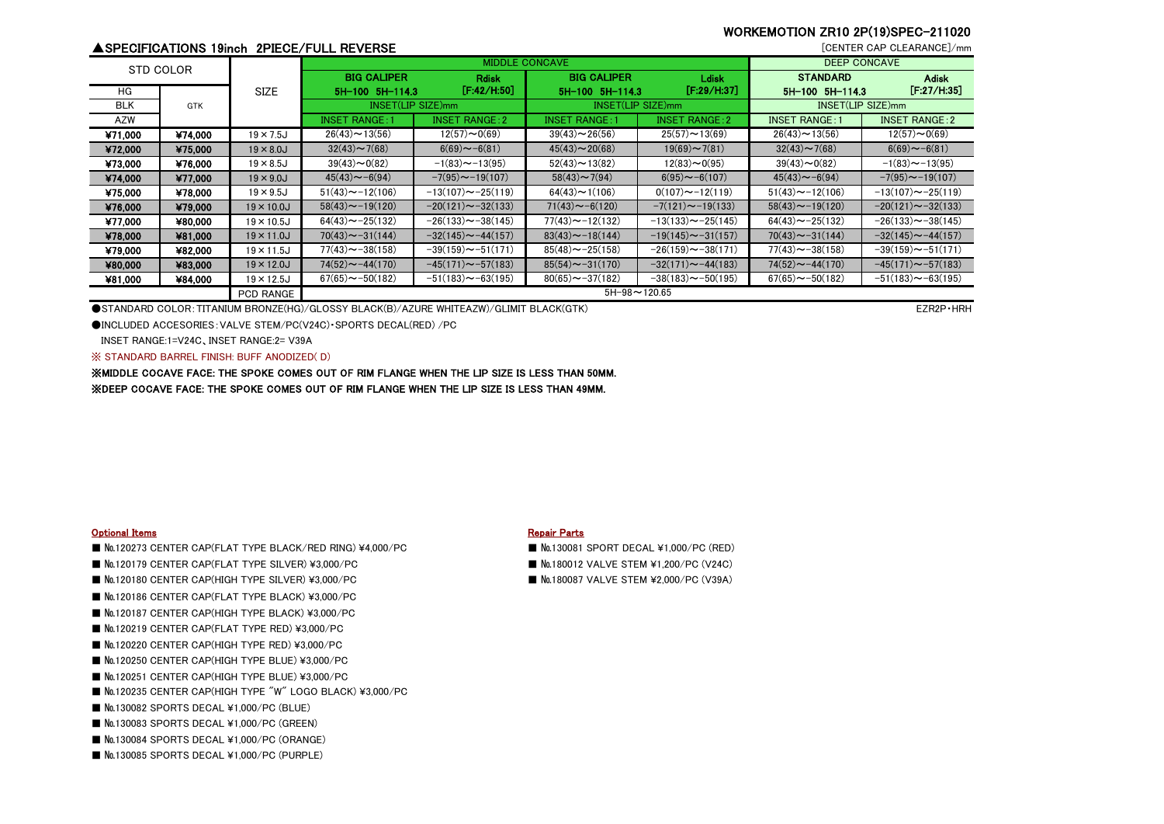# WORKEMOTION ZR10 2P(19)SPEC-211020

# ▲SPECIFICATIONS 19inch 2PIECE/FULL REVERSE **interventional and the control of the control of the control of the control of the control of the control of the control of the control of the control of the control of the cont**

|            | STD COLOR  |                    |                        | <b>MIDDLE CONCAVE</b>     | <b>DEEP CONCAVE</b>    |                          |                        |                          |  |  |
|------------|------------|--------------------|------------------------|---------------------------|------------------------|--------------------------|------------------------|--------------------------|--|--|
|            |            |                    | <b>BIG CALIPER</b>     | <b>Rdisk</b>              | <b>BIG CALIPER</b>     | Ldisk                    | <b>STANDARD</b>        | <b>Adisk</b>             |  |  |
| HG         |            | <b>SIZE</b>        | 5H-100 5H-114.3        | [F:42/H:50]               | 5H-100 5H-114.3        | [F:29/H:37]              | 5H-100 5H-114.3        | [F:27/H:35]              |  |  |
| <b>BLK</b> | <b>GTK</b> |                    |                        | INSET(LIP SIZE)mm         |                        | INSET(LIP SIZE)mm        |                        | INSET(LIP SIZE)mm        |  |  |
| <b>AZW</b> |            |                    | <b>INSET RANGE:</b>    | <b>INSET RANGE: 2</b>     | <b>INSET RANGE: 1</b>  | <b>INSET RANGE: 2</b>    | <b>INSET RANGE: 1</b>  | <b>INSET RANGE: 2</b>    |  |  |
| ¥71.000    | ¥74.000    | $19 \times 7.5$ J  | $26(43) \sim 13(56)$   | $12(57) \sim 0(69)$       | $39(43) \sim 26(56)$   | $25(57) \sim 13(69)$     | $26(43) \sim 13(56)$   | $12(57) \sim 0(69)$      |  |  |
| ¥72,000    | ¥75,000    | $19 \times 8.0$ J  | $32(43) \sim 7(68)$    | $6(69) \sim -6(81)$       | $45(43) \sim 20(68)$   | $19(69) \sim 7(81)$      | $32(43) \sim 7(68)$    | $6(69) \sim -6(81)$      |  |  |
| ¥73,000    | ¥76,000    | $19 \times 8.5$ J  | $39(43)$ ~ 0(82)       | $-1(83)$ $\sim$ $-13(95)$ | $52(43) \sim 13(82)$   | $12(83) \sim 0(95)$      | $39(43) \sim 0(82)$    | $-1(83)$ ~ $-13(95)$     |  |  |
| ¥74,000    | ¥77,000    | $19 \times 9.0$ J  | $45(43) \sim -6(94)$   | $-7(95) \sim -19(107)$    | $58(43) \sim 7(94)$    | $6(95) \sim -6(107)$     | $45(43) \sim -6(94)$   | $-7(95) \sim -19(107)$   |  |  |
| ¥75,000    | ¥78.000    | $19 \times 9.5$ J  | $51(43) \sim -12(106)$ | $-13(107) \sim -25(119)$  | $64(43) \sim 1(106)$   | $0(107) \sim -12(119)$   | $51(43) \sim -12(106)$ | $-13(107) \sim -25(119)$ |  |  |
| ¥76,000    | ¥79,000    | $19 \times 10.0$ J | $58(43) \sim -19(120)$ | $-20(121) \sim -32(133)$  | $71(43) \sim -6(120)$  | $-7(121) \sim -19(133)$  | $58(43) \sim -19(120)$ | $-20(121) \sim -32(133)$ |  |  |
| ¥77,000    | ¥80,000    | $19 \times 10.5$ J | $64(43) \sim -25(132)$ | $-26(133) \sim -38(145)$  | $77(43) \sim -12(132)$ | $-13(133) \sim -25(145)$ | $64(43) \sim -25(132)$ | $-26(133) \sim -38(145)$ |  |  |
| ¥78,000    | ¥81,000    | $19 \times 11.0$ J | $70(43) \sim -31(144)$ | $-32(145) \sim -44(157)$  | $83(43) \sim -18(144)$ | $-19(145) \sim -31(157)$ | $70(43) \sim -31(144)$ | $-32(145) \sim -44(157)$ |  |  |
| ¥79,000    | ¥82,000    | $19 \times 11.5$ J | $77(43) \sim -38(158)$ | $-39(159) \sim -51(171)$  | $85(48) \sim -25(158)$ | $-26(159) \sim -38(171)$ | $77(43) \sim -38(158)$ | $-39(159) \sim -51(171)$ |  |  |
| ¥80,000    | ¥83,000    | $19 \times 12.0$ J | $74(52) \sim -44(170)$ | $-45(171) \sim -57(183)$  | $85(54) \sim -31(170)$ | $-32(171) \sim -44(183)$ | $74(52) \sim -44(170)$ | $-45(171) \sim -57(183)$ |  |  |
| ¥81,000    | ¥84,000    | $19 \times 12.5$ J | $67(65) \sim -50(182)$ | $-51(183) \sim -63(195)$  | $80(65) \sim -37(182)$ | $-38(183) \sim -50(195)$ | $67(65) \sim -50(182)$ | $-51(183) \sim -63(195)$ |  |  |
|            |            | <b>PCD RANGE</b>   | $5H-98 \sim 120.65$    |                           |                        |                          |                        |                          |  |  |

●STANDARD COLOR: TITANIUM BRONZE(HG)/GLOSSY BLACK(B)/AZURE WHITEAZW)/GLIMIT BLACK(GTK) EXAMENT AND THE STANDARD COLOR: TITANIUM BRONZE(HG)/GLOSSY BLACK(B)/AZURE WHITEAZW)/GLIMIT BLACK(GTK)

●INCLUDED ACCESORIES:VALVE STEM/PC(V24C)・SPORTS DECAL(RED) /PC

INSET RANGE:1=V24C、INSET RANGE:2= V39A

※ STANDARD BARREL FINISH: BUFF ANODIZED( D)

※MIDDLE COCAVE FACE: THE SPOKE COMES OUT OF RIM FLANGE WHEN THE LIP SIZE IS LESS THAN 50MM. ※DEEP COCAVE FACE: THE SPOKE COMES OUT OF RIM FLANGE WHEN THE LIP SIZE IS LESS THAN 49MM.

### **Optional Items Repair Parts** Repair Parts **Repair Parts**

- №120273 CENTER CAP(FLAT TYPE BLACK/RED RING) ¥4,000/PC №130081 SPORT DECAL ¥1,000/PC (RED)
- №120180 CENTER CAP(HIGH TYPE SILVER) ¥3,000/PC №180087 VALVE STEM ¥2,000/PC (V39A)
- №120186 CENTER CAP(FLAT TYPE BLACK) ¥3,000/PC
- №120187 CENTER CAP(HIGH TYPE BLACK) ¥3,000/PC
- №120219 CENTER CAP(FLAT TYPE RED) ¥3,000/PC
- №120220 CENTER CAP(HIGH TYPE RED) ¥3,000/PC
- No.120250 CENTER CAP(HIGH TYPE BLUE) ¥3,000/PC
- №120251 CENTER CAP(HIGH TYPE BLUE) ¥3,000/PC
- No.120235 CENTER CAP(HIGH TYPE "W" LOGO BLACK) ¥3,000/PC
- **No.130082 SPORTS DECAL ¥1,000/PC (BLUE)**
- №130083 SPORTS DECAL ¥1,000/PC (GREEN)
- №130084 SPORTS DECAL ¥1,000/PC (ORANGE)
- No.130085 SPORTS DECAL ¥1,000/PC (PURPLE)

- 
- No.120179 CENTER CAP(FLAT TYPE SILVER) ¥3,000/PC ■ ● ● ● ■ ■ No.180012 VALVE STEM ¥1.200/PC (V24C)
	-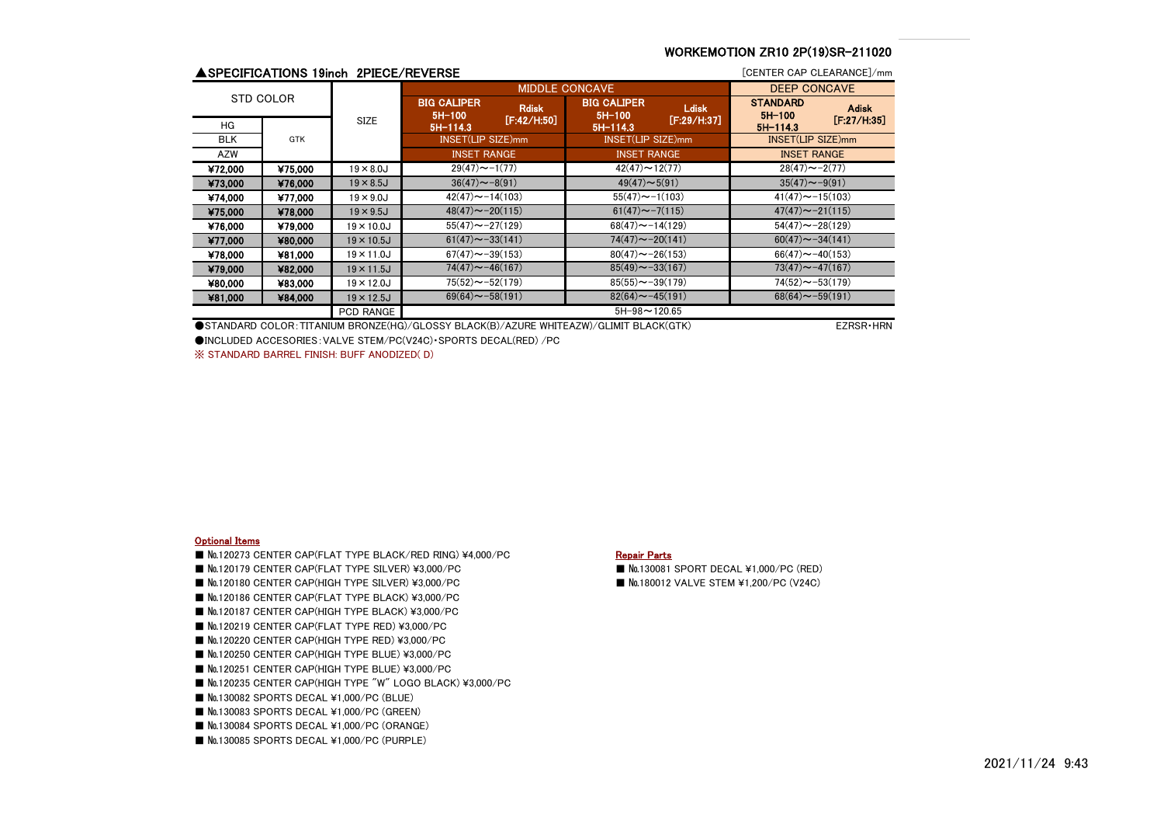# WORKEMOTION ZR10 2P(19)SR-211020

|            |         | ▲SPECIFICATIONS 19inch 2PIECE/REVERSE |                                |                             |                                |                             | [CENTER CAP CLEARANCE]/mm   |                             |
|------------|---------|---------------------------------------|--------------------------------|-----------------------------|--------------------------------|-----------------------------|-----------------------------|-----------------------------|
| STD COLOR  |         |                                       | <b>MIDDLE CONCAVE</b>          |                             |                                |                             | <b>DEEP CONCAVE</b>         |                             |
|            |         |                                       | <b>BIG CALIPER</b><br>$5H-100$ | <b>Rdisk</b><br>[F:42/H:50] | <b>BIG CALIPER</b><br>$5H-100$ | <b>Ldisk</b><br>[F:29/H:37] | <b>STANDARD</b><br>$5H-100$ | <b>Adisk</b><br>[F:27/H:35] |
| HG         | GTK     | <b>SIZE</b>                           | $5H-114.3$                     |                             | $5H-114.3$                     |                             | $5H - 1143$                 |                             |
| <b>BLK</b> |         |                                       | INSET(LIP SIZE)mm              |                             | INSET(LIP SIZE)mm              |                             | INSET(LIP SIZE)mm           |                             |
| AZW        |         |                                       | <b>INSET RANGE</b>             |                             | <b>INSET RANGE</b>             |                             | <b>INSET RANGE</b>          |                             |
| ¥72,000    | ¥75,000 | $19 \times 8.0$ J                     | $29(47) \sim -1(77)$           |                             | $42(47) \sim 12(77)$           |                             | $28(47) \sim -2(77)$        |                             |
| ¥73,000    | ¥76,000 | $19 \times 8.5$ J                     | $36(47) \sim -8(91)$           |                             | $49(47) \sim 5(91)$            |                             | $35(47) \sim -9(91)$        |                             |
| ¥74,000    | ¥77,000 | $19 \times 9.0$ J                     | $42(47) \sim -14(103)$         |                             | $55(47) \sim -1(103)$          |                             | $41(47) \sim -15(103)$      |                             |
| ¥75,000    | ¥78,000 | $19 \times 9.5$ J                     | $48(47) \sim -20(115)$         |                             | $61(47) \sim -7(115)$          |                             | $47(47) \sim -21(115)$      |                             |
| ¥76,000    | ¥79,000 | $19 \times 10.0$ J                    | $55(47) \sim -27(129)$         |                             | $68(47) \sim -14(129)$         |                             | $54(47) \sim -28(129)$      |                             |
| ¥77,000    | ¥80,000 | $19 \times 10.5$ J                    | $61(47) \sim -33(141)$         |                             | $74(47) \sim -20(141)$         |                             | $60(47) \sim -34(141)$      |                             |
| ¥78,000    | ¥81,000 | $19 \times 11.0$ J                    | $67(47) \sim -39(153)$         |                             | $80(47) \sim -26(153)$         |                             | $66(47) \sim -40(153)$      |                             |
| ¥79,000    | ¥82,000 | $19 \times 11.5$ J                    | $74(47) \sim -46(167)$         |                             | $85(49) \sim -33(167)$         |                             | $73(47) \sim -47(167)$      |                             |
| ¥80,000    | ¥83,000 | $19 \times 12.0$ J                    | $75(52) \sim -52(179)$         |                             | $85(55) \sim -39(179)$         |                             | $74(52) \sim -53(179)$      |                             |
| ¥81,000    | ¥84,000 | $19 \times 12.5$ J                    | $69(64) \sim -58(191)$         |                             | $82(64) \sim -45(191)$         |                             | $68(64) \sim -59(191)$      |                             |
|            |         | <b>PCD RANGE</b>                      |                                |                             | $5H-98 \sim 120.65$            |                             |                             |                             |

●STANDARD COLOR: TITANIUM BRONZE(HG)/GLOSSY BLACK(B)/AZURE WHITEAZW)/GLIMIT BLACK(GTK) FEXRSR + HRN

●INCLUDED ACCESORIES:VALVE STEM/PC(V24C)・SPORTS DECAL(RED) /PC

※ STANDARD BARREL FINISH: BUFF ANODIZED( D)

### Optional Items

- No.120273 CENTER CAP(FLAT TYPE BLACK/RED RING) ¥4,000/PC Repair Parts
- №120179 CENTER CAP(FLAT TYPE SILVER) ¥3,000/PC №130081 SPORT DECAL ¥1,000/PC (RED)
- №120180 CENTER CAP(HIGH TYPE SILVER) ¥3,000/PC №180012 VALVE STEM ¥1,200/PC (V24C)
- №120186 CENTER CAP(FLAT TYPE BLACK) ¥3,000/PC
- No.120187 CENTER CAP(HIGH TYPE BLACK) ¥3,000/PC
- №120219 CENTER CAP(FLAT TYPE RED) ¥3,000/PC
- №120220 CENTER CAP(HIGH TYPE RED) ¥3,000/PC
- №120250 CENTER CAP(HIGH TYPE BLUE) ¥3,000/PC
- №120251 CENTER CAP(HIGH TYPE BLUE) ¥3,000/PC
- №120235 CENTER CAP(HIGH TYPE "W" LOGO BLACK) ¥3,000/PC
- №130082 SPORTS DECAL ¥1,000/PC (BLUE)
- №130083 SPORTS DECAL ¥1,000/PC (GREEN)
- No.130084 SPORTS DECAL ¥1,000/PC (ORANGE)
- №130085 SPORTS DECAL ¥1,000/PC (PURPLE)